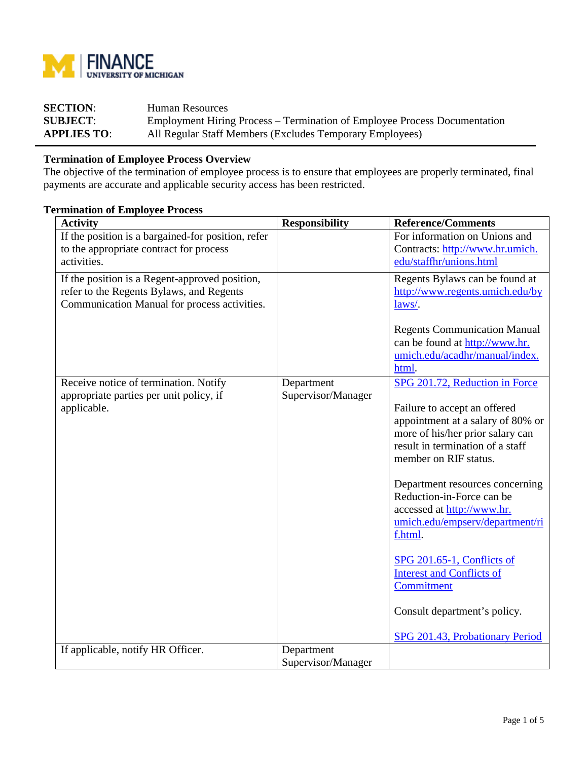

| <b>SECTION:</b>    | Human Resources                                                                  |
|--------------------|----------------------------------------------------------------------------------|
| <b>SUBJECT:</b>    | <b>Employment Hiring Process – Termination of Employee Process Documentation</b> |
| <b>APPLIES TO:</b> | All Regular Staff Members (Excludes Temporary Employees)                         |

## **Termination of Employee Process Overview**

The objective of the termination of employee process is to ensure that employees are properly terminated, final payments are accurate and applicable security access has been restricted.

## **Termination of Employee Process**

| <b>Activity</b>                                    | <b>Responsibility</b> | <b>Reference/Comments</b>                                             |
|----------------------------------------------------|-----------------------|-----------------------------------------------------------------------|
| If the position is a bargained-for position, refer |                       | For information on Unions and                                         |
| to the appropriate contract for process            |                       | Contracts: http://www.hr.umich.                                       |
| activities.                                        |                       | edu/staffhr/unions.html                                               |
| If the position is a Regent-approved position,     |                       | Regents Bylaws can be found at                                        |
| refer to the Regents Bylaws, and Regents           |                       | http://www.regents.umich.edu/by                                       |
| Communication Manual for process activities.       |                       | laws/.                                                                |
|                                                    |                       |                                                                       |
|                                                    |                       | <b>Regents Communication Manual</b><br>can be found at http://www.hr. |
|                                                    |                       | umich.edu/acadhr/manual/index.                                        |
|                                                    |                       | html.                                                                 |
| Receive notice of termination. Notify              | Department            | SPG 201.72, Reduction in Force                                        |
| appropriate parties per unit policy, if            | Supervisor/Manager    |                                                                       |
| applicable.                                        |                       | Failure to accept an offered                                          |
|                                                    |                       | appointment at a salary of 80% or                                     |
|                                                    |                       | more of his/her prior salary can                                      |
|                                                    |                       | result in termination of a staff<br>member on RIF status.             |
|                                                    |                       |                                                                       |
|                                                    |                       | Department resources concerning                                       |
|                                                    |                       | Reduction-in-Force can be                                             |
|                                                    |                       | accessed at http://www.hr.                                            |
|                                                    |                       | umich.edu/empserv/department/ri                                       |
|                                                    |                       | f.html.                                                               |
|                                                    |                       | SPG 201.65-1, Conflicts of                                            |
|                                                    |                       | <b>Interest and Conflicts of</b>                                      |
|                                                    |                       | Commitment                                                            |
|                                                    |                       |                                                                       |
|                                                    |                       | Consult department's policy.                                          |
|                                                    |                       | SPG 201.43, Probationary Period                                       |
| If applicable, notify HR Officer.                  | Department            |                                                                       |
|                                                    | Supervisor/Manager    |                                                                       |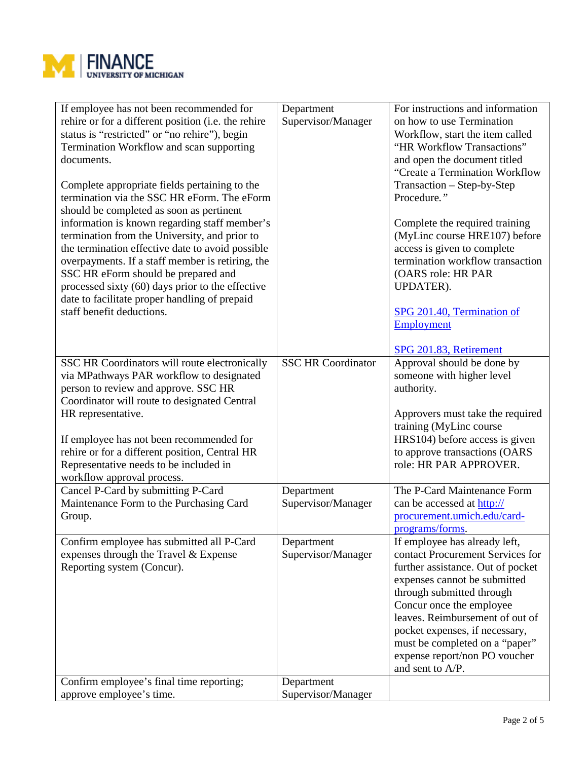

| If employee has not been recommended for<br>rehire or for a different position (i.e. the rehire<br>status is "restricted" or "no rehire"), begin<br>Termination Workflow and scan supporting<br>documents.<br>Complete appropriate fields pertaining to the<br>termination via the SSC HR eForm. The eForm<br>should be completed as soon as pertinent<br>information is known regarding staff member's<br>termination from the University, and prior to<br>the termination effective date to avoid possible<br>overpayments. If a staff member is retiring, the<br>SSC HR eForm should be prepared and<br>processed sixty (60) days prior to the effective<br>date to facilitate proper handling of prepaid<br>staff benefit deductions. | Department<br>Supervisor/Manager | For instructions and information<br>on how to use Termination<br>Workflow, start the item called<br>"HR Workflow Transactions"<br>and open the document titled<br>"Create a Termination Workflow<br>Transaction – Step-by-Step<br>Procedure."<br>Complete the required training<br>(MyLinc course HRE107) before<br>access is given to complete<br>termination workflow transaction<br>(OARS role: HR PAR<br>UPDATER).<br>SPG 201.40, Termination of<br>Employment<br>SPG 201.83, Retirement |
|-------------------------------------------------------------------------------------------------------------------------------------------------------------------------------------------------------------------------------------------------------------------------------------------------------------------------------------------------------------------------------------------------------------------------------------------------------------------------------------------------------------------------------------------------------------------------------------------------------------------------------------------------------------------------------------------------------------------------------------------|----------------------------------|----------------------------------------------------------------------------------------------------------------------------------------------------------------------------------------------------------------------------------------------------------------------------------------------------------------------------------------------------------------------------------------------------------------------------------------------------------------------------------------------|
| SSC HR Coordinators will route electronically<br>via MPathways PAR workflow to designated<br>person to review and approve. SSC HR<br>Coordinator will route to designated Central<br>HR representative.<br>If employee has not been recommended for<br>rehire or for a different position, Central HR<br>Representative needs to be included in<br>workflow approval process.                                                                                                                                                                                                                                                                                                                                                             | <b>SSC HR Coordinator</b>        | Approval should be done by<br>someone with higher level<br>authority.<br>Approvers must take the required<br>training (MyLinc course<br>HRS104) before access is given<br>to approve transactions (OARS<br>role: HR PAR APPROVER.                                                                                                                                                                                                                                                            |
| Cancel P-Card by submitting P-Card<br>Maintenance Form to the Purchasing Card<br>Group.                                                                                                                                                                                                                                                                                                                                                                                                                                                                                                                                                                                                                                                   | Department<br>Supervisor/Manager | The P-Card Maintenance Form<br>can be accessed at http://<br>procurement.umich.edu/card-<br>programs/forms.                                                                                                                                                                                                                                                                                                                                                                                  |
| Confirm employee has submitted all P-Card<br>expenses through the Travel & Expense<br>Reporting system (Concur).                                                                                                                                                                                                                                                                                                                                                                                                                                                                                                                                                                                                                          | Department<br>Supervisor/Manager | If employee has already left,<br>contact Procurement Services for<br>further assistance. Out of pocket<br>expenses cannot be submitted<br>through submitted through<br>Concur once the employee<br>leaves. Reimbursement of out of<br>pocket expenses, if necessary,<br>must be completed on a "paper"<br>expense report/non PO voucher<br>and sent to A/P.                                                                                                                                  |
| Confirm employee's final time reporting;<br>approve employee's time.                                                                                                                                                                                                                                                                                                                                                                                                                                                                                                                                                                                                                                                                      | Department<br>Supervisor/Manager |                                                                                                                                                                                                                                                                                                                                                                                                                                                                                              |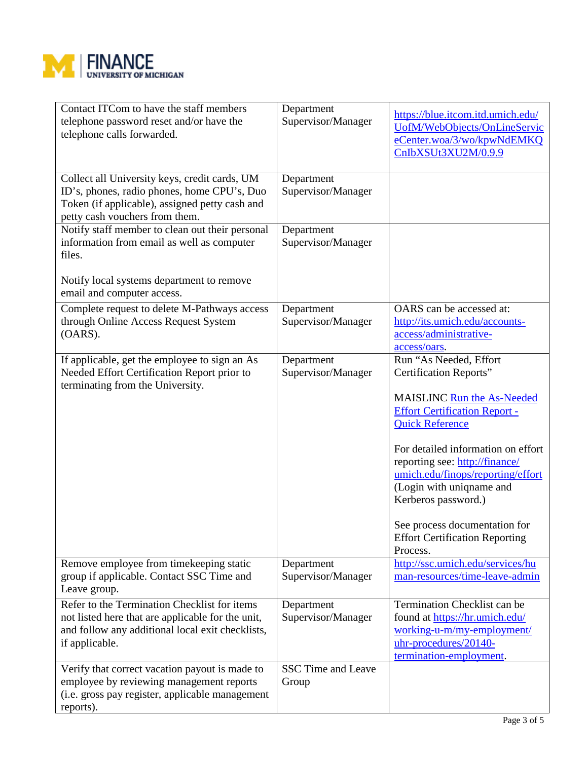

| Contact ITCom to have the staff members<br>telephone password reset and/or have the<br>telephone calls forwarded.                                                                | Department<br>Supervisor/Manager   | https://blue.itcom.itd.umich.edu/<br>UofM/WebObjects/OnLineServic<br>eCenter.woa/3/wo/kpwNdEMKQ<br>CnIbXSUt3XU2M/0.9.9                                                                                                                                                                                                                                                                                 |
|----------------------------------------------------------------------------------------------------------------------------------------------------------------------------------|------------------------------------|--------------------------------------------------------------------------------------------------------------------------------------------------------------------------------------------------------------------------------------------------------------------------------------------------------------------------------------------------------------------------------------------------------|
| Collect all University keys, credit cards, UM<br>ID's, phones, radio phones, home CPU's, Duo<br>Token (if applicable), assigned petty cash and<br>petty cash vouchers from them. | Department<br>Supervisor/Manager   |                                                                                                                                                                                                                                                                                                                                                                                                        |
| Notify staff member to clean out their personal<br>information from email as well as computer<br>files.                                                                          | Department<br>Supervisor/Manager   |                                                                                                                                                                                                                                                                                                                                                                                                        |
| Notify local systems department to remove<br>email and computer access.                                                                                                          |                                    |                                                                                                                                                                                                                                                                                                                                                                                                        |
| Complete request to delete M-Pathways access<br>through Online Access Request System<br>(OARS).                                                                                  | Department<br>Supervisor/Manager   | OARS can be accessed at:<br>http://its.umich.edu/accounts-<br>access/administrative-<br>access/oars.                                                                                                                                                                                                                                                                                                   |
| If applicable, get the employee to sign an As<br>Needed Effort Certification Report prior to<br>terminating from the University.                                                 | Department<br>Supervisor/Manager   | Run "As Needed, Effort<br>Certification Reports"<br>MAISLINC Run the As-Needed<br><b>Effort Certification Report -</b><br><b>Quick Reference</b><br>For detailed information on effort<br>reporting see: http://finance/<br>umich.edu/finops/reporting/effort<br>(Login with uniqname and<br>Kerberos password.)<br>See process documentation for<br><b>Effort Certification Reporting</b><br>Process. |
| Remove employee from timekeeping static<br>group if applicable. Contact SSC Time and<br>Leave group.                                                                             | Department<br>Supervisor/Manager   | http://ssc.umich.edu/services/hu<br>man-resources/time-leave-admin                                                                                                                                                                                                                                                                                                                                     |
| Refer to the Termination Checklist for items<br>not listed here that are applicable for the unit,<br>and follow any additional local exit checklists,<br>if applicable.          | Department<br>Supervisor/Manager   | Termination Checklist can be<br>found at https://hr.umich.edu/<br>working-u-m/my-employment/<br>uhr-procedures/20140-<br>termination-employment.                                                                                                                                                                                                                                                       |
| Verify that correct vacation payout is made to<br>employee by reviewing management reports<br>(i.e. gross pay register, applicable management<br>reports).                       | <b>SSC Time and Leave</b><br>Group |                                                                                                                                                                                                                                                                                                                                                                                                        |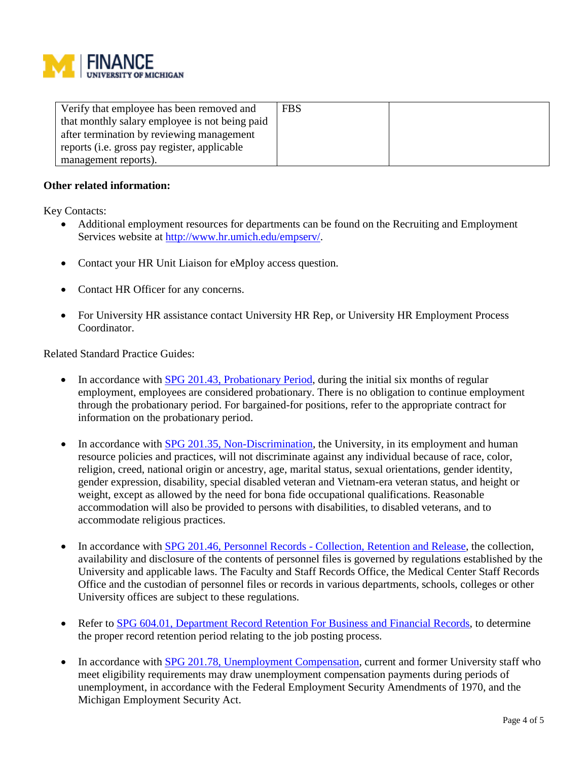

| Verify that employee has been removed and      | <b>FBS</b> |  |
|------------------------------------------------|------------|--|
| that monthly salary employee is not being paid |            |  |
| after termination by reviewing management      |            |  |
| reports (i.e. gross pay register, applicable   |            |  |
| management reports).                           |            |  |

## **Other related information:**

Key Contacts:

- Additional employment resources for departments can be found on the Recruiting and Employment Services website at [http://www.hr.umich.edu/empserv/.](http://www.hr.umich.edu/empserv/)
- Contact your HR Unit Liaison for eMploy access question.
- Contact HR Officer for any concerns.
- For University HR assistance contact University HR Rep, or University HR Employment Process Coordinator.

Related Standard Practice Guides:

- In accordance with **SPG 201.43, [Probationary](http://spg.umich.edu/pdf/201.43.pdf) Period**, during the initial six months of regular employment, employees are considered probationary. There is no obligation to continue employment through the probationary period. For bargained-for positions, refer to the appropriate contract for information on the probationary period.
- In accordance with SPG 201.35, [Non-Discrimination,](http://spg.umich.edu/pdf/201.35.pdf) the University, in its employment and human resource policies and practices, will not discriminate against any individual because of race, color, religion, creed, national origin or ancestry, age, marital status, sexual orientations, gender identity, gender expression, disability, special disabled veteran and Vietnam-era veteran status, and height or weight, except as allowed by the need for bona fide occupational qualifications. Reasonable accommodation will also be provided to persons with disabilities, to disabled veterans, and to accommodate religious practices.
- In accordance with SPG 201.46, Personnel Records [Collection,](http://spg.umich.edu/pdf/201.46.pdf) Retention and Release, the collection, availability and disclosure of the contents of personnel files is governed by regulations established by the University and applicable laws. The Faculty and Staff Records Office, the Medical Center Staff Records Office and the custodian of personnel files or records in various departments, schools, colleges or other University offices are subject to these regulations.
- Refer to SPG 604.01, [Department](http://spg.umich.edu/policy/604.01) Record Retention For Business and Financial Records, to determine the proper record retention period relating to the job posting process.
- In accordance with SPG 201.78, [Unemployment](http://spg.umich.edu/pdf/201.78.pdf) Compensation, current and former University staff who meet eligibility requirements may draw unemployment compensation payments during periods of unemployment, in accordance with the Federal Employment Security Amendments of 1970, and the Michigan Employment Security Act.